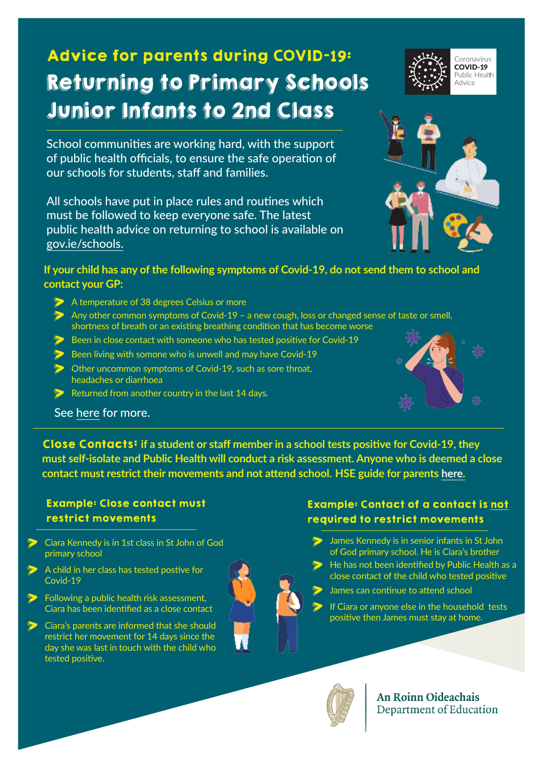# Advice for parents during COVID-**19**: Returning to Primary Schools Junior Infants to 2nd Class

School communities are working hard, with the support of public health officials, to ensure the safe operation of our schools for students, staff and families.

All schools have put in place rules and routines which must be followed to keep everyone safe. The latest public health advice on returning to school is available on [gov.ie/schools](http://gov.ie/schools).

### **If your child has any of the following symptoms of Covid-19, do not send them to school and contact your GP:**

- A temperature of 38 degrees Celsius or more
- > Any other common symptoms of Covid-19 a new cough, loss or changed sense of taste or smell, shortness of breath or an existing breathing condition that has become worse
- Been in close contact with someone who has tested positive for Covid-19
- $\triangleright$  Been living with somone who is unwell and may have Covid-19
- **Other uncommon symptoms of Covid-19, such as sore throat.** headaches or diarrhoea
- Returned from another country in the last 14 days.



See [here](https://www2.hse.ie/conditions/coronavirus/school-and-covid-19/when-you-should-keep-your-child-home.html) for more.

Close Contacts: **if a student or staff member in a school tests positive for Covid-19, they must self-isolate and Public Health will conduct a risk assessment. Anyone who is deemed a close contact must restrict their movements and not attend school. HSE guide for parents [here](https://www.gov.ie/en/campaigns/a128d-back-to-school/?referrer=http://www.gov.ie/schools/).**

## Example: Close contact must restrict movements

- > Ciara Kennedy is in 1st class in St John of God primary school
- A child in her class has tested postive for Covid-19
- **D** Following a public health risk assessment, Ciara has been identified as a close contact
- **D** Ciara's parents are informed that she should restrict her movement for 14 days since the day she was last in touch with the child who tested positive.

### Example: Contact of a contact is not required to restrict movements

- James Kennedy is in senior infants in St John of God primary school. He is Ciara's brother
- He has not been identified by Public Health as a close contact of the child who tested positive
	- James can continue to attend school
	- If Ciara or anyone else in the household tests positive then James must stay at home.



**An Roinn Oideachais** Department of Education



Coronavirus COVID-19 Public Health Advice